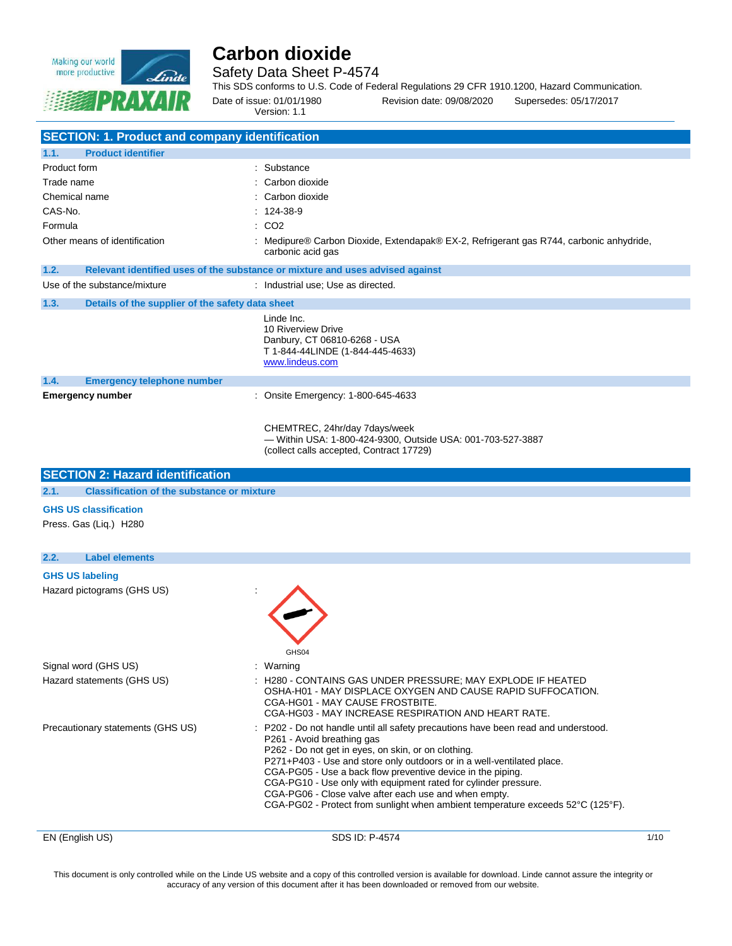

### Safety Data Sheet P-4574

This SDS conforms to U.S. Code of Federal Regulations 29 CFR 1910.1200, Hazard Communication. Date of issue: 01/01/1980 Revision date: 09/08/2020 Supersedes: 05/17/2017

Version: 1.1

| <b>SECTION: 1. Product and company identification</b>    |                                                                                                                                          |  |
|----------------------------------------------------------|------------------------------------------------------------------------------------------------------------------------------------------|--|
| <b>Product identifier</b><br>1.1.                        |                                                                                                                                          |  |
| Product form                                             | : Substance                                                                                                                              |  |
| Trade name                                               | : Carbon dioxide                                                                                                                         |  |
| Chemical name                                            | : Carbon dioxide                                                                                                                         |  |
| CAS-No.                                                  | $: 124-38-9$                                                                                                                             |  |
| Formula                                                  | $\therefore$ CO <sub>2</sub>                                                                                                             |  |
| Other means of identification                            | : Medipure® Carbon Dioxide, Extendapak® EX-2, Refrigerant gas R744, carbonic anhydride,<br>carbonic acid gas                             |  |
| 1.2.                                                     | Relevant identified uses of the substance or mixture and uses advised against                                                            |  |
| Use of the substance/mixture                             | : Industrial use; Use as directed.                                                                                                       |  |
| 1.3.<br>Details of the supplier of the safety data sheet |                                                                                                                                          |  |
|                                                          | Linde Inc.<br>10 Riverview Drive<br>Danbury, CT 06810-6268 - USA<br>T 1-844-44LINDE (1-844-445-4633)<br>www.lindeus.com                  |  |
| <b>Emergency telephone number</b><br>1.4.                |                                                                                                                                          |  |
| <b>Emergency number</b>                                  | : Onsite Emergency: 1-800-645-4633                                                                                                       |  |
|                                                          | CHEMTREC, 24hr/day 7days/week<br>- Within USA: 1-800-424-9300, Outside USA: 001-703-527-3887<br>(collect calls accepted, Contract 17729) |  |
| <b>SECTION 2: Hazard identification</b>                  |                                                                                                                                          |  |
| 0.4 Classification of the substance or minimum           |                                                                                                                                          |  |

**2.1. Classification of the substance or mixture**

**GHS US classification**

Press. Gas (Liq.) H280

#### **2.2. Label elements**

| <b>GHS US labeling</b> |  |  |
|------------------------|--|--|

Hazard pictograms (GHS US) :

| i iazaru pittuyrams (שו וט טיונ   | GHS04                                                                                                                                                                                                                                                                                                                                                                                                                                                                                                                                                |
|-----------------------------------|------------------------------------------------------------------------------------------------------------------------------------------------------------------------------------------------------------------------------------------------------------------------------------------------------------------------------------------------------------------------------------------------------------------------------------------------------------------------------------------------------------------------------------------------------|
| Signal word (GHS US)              | : Warning                                                                                                                                                                                                                                                                                                                                                                                                                                                                                                                                            |
| Hazard statements (GHS US)        | : H280 - CONTAINS GAS UNDER PRESSURE; MAY EXPLODE IF HEATED<br>OSHA-H01 - MAY DISPLACE OXYGEN AND CAUSE RAPID SUFFOCATION.<br>CGA-HG01 - MAY CAUSE FROSTBITE.<br>CGA-HG03 - MAY INCREASE RESPIRATION AND HEART RATE.                                                                                                                                                                                                                                                                                                                                 |
| Precautionary statements (GHS US) | : P202 - Do not handle until all safety precautions have been read and understood.<br>P261 - Avoid breathing gas<br>P262 - Do not get in eyes, on skin, or on clothing.<br>P271+P403 - Use and store only outdoors or in a well-ventilated place.<br>CGA-PG05 - Use a back flow preventive device in the piping.<br>CGA-PG10 - Use only with equipment rated for cylinder pressure.<br>CGA-PG06 - Close valve after each use and when empty.<br>CGA-PG02 - Protect from sunlight when ambient temperature exceeds $52^{\circ}$ C (125 $^{\circ}$ F). |

▲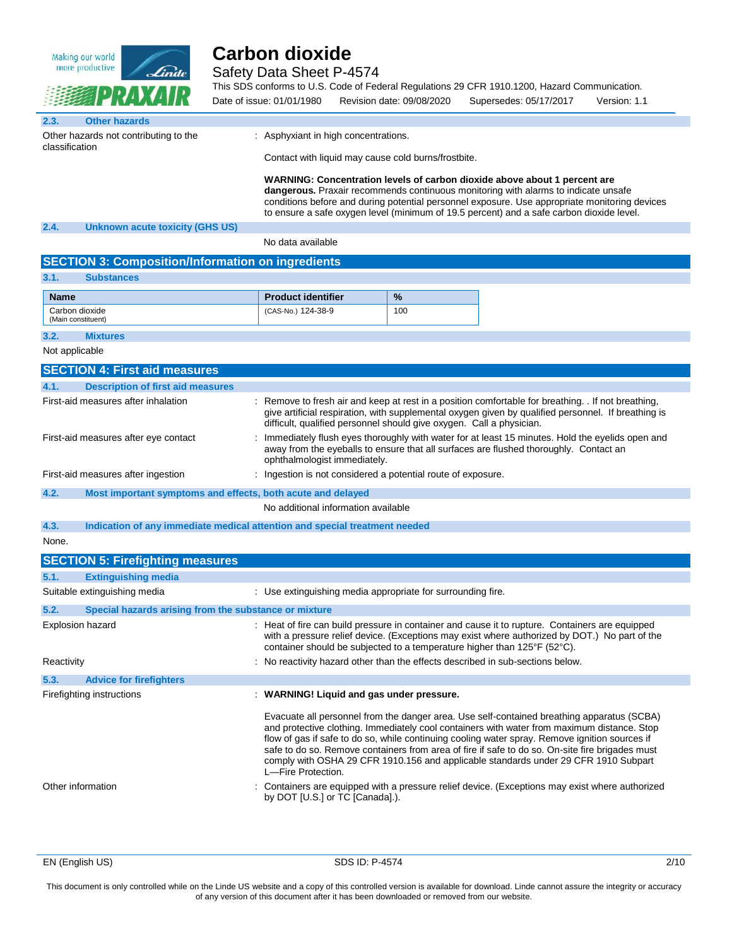

Safety Data Sheet P-4574

This SDS conforms to U.S. Code of Federal Regulations 29 CFR 1910.1200, Hazard Communication. Date of issue: 01/01/1980 Revision date: 09/08/2020 Supersedes: 05/17/2017 Version: 1.1

| 2.3.                                                                                                                          | <b>Other hazards</b>                                        |                                                                                                                                                                                                                                                                                                                                                                                                                                                                                                             |  |
|-------------------------------------------------------------------------------------------------------------------------------|-------------------------------------------------------------|-------------------------------------------------------------------------------------------------------------------------------------------------------------------------------------------------------------------------------------------------------------------------------------------------------------------------------------------------------------------------------------------------------------------------------------------------------------------------------------------------------------|--|
| Other hazards not contributing to the<br>classification                                                                       |                                                             | : Asphyxiant in high concentrations.                                                                                                                                                                                                                                                                                                                                                                                                                                                                        |  |
|                                                                                                                               |                                                             | Contact with liquid may cause cold burns/frostbite.                                                                                                                                                                                                                                                                                                                                                                                                                                                         |  |
|                                                                                                                               |                                                             | WARNING: Concentration levels of carbon dioxide above about 1 percent are<br>dangerous. Praxair recommends continuous monitoring with alarms to indicate unsafe<br>conditions before and during potential personnel exposure. Use appropriate monitoring devices<br>to ensure a safe oxygen level (minimum of 19.5 percent) and a safe carbon dioxide level.                                                                                                                                                |  |
| 2.4.                                                                                                                          | <b>Unknown acute toxicity (GHS US)</b>                      |                                                                                                                                                                                                                                                                                                                                                                                                                                                                                                             |  |
|                                                                                                                               |                                                             | No data available                                                                                                                                                                                                                                                                                                                                                                                                                                                                                           |  |
|                                                                                                                               | <b>SECTION 3: Composition/Information on ingredients</b>    |                                                                                                                                                                                                                                                                                                                                                                                                                                                                                                             |  |
| 3.1.                                                                                                                          | <b>Substances</b>                                           |                                                                                                                                                                                                                                                                                                                                                                                                                                                                                                             |  |
| <b>Name</b>                                                                                                                   |                                                             | $\%$<br><b>Product identifier</b>                                                                                                                                                                                                                                                                                                                                                                                                                                                                           |  |
| Carbon dioxide<br>(Main constituent)                                                                                          |                                                             | 100<br>(CAS-No.) 124-38-9                                                                                                                                                                                                                                                                                                                                                                                                                                                                                   |  |
| 3.2.                                                                                                                          | <b>Mixtures</b>                                             |                                                                                                                                                                                                                                                                                                                                                                                                                                                                                                             |  |
| Not applicable                                                                                                                |                                                             |                                                                                                                                                                                                                                                                                                                                                                                                                                                                                                             |  |
|                                                                                                                               | <b>SECTION 4: First aid measures</b>                        |                                                                                                                                                                                                                                                                                                                                                                                                                                                                                                             |  |
| 4.1.                                                                                                                          | <b>Description of first aid measures</b>                    |                                                                                                                                                                                                                                                                                                                                                                                                                                                                                                             |  |
| First-aid measures after inhalation                                                                                           |                                                             | : Remove to fresh air and keep at rest in a position comfortable for breathing. If not breathing,<br>give artificial respiration, with supplemental oxygen given by qualified personnel. If breathing is<br>difficult, qualified personnel should give oxygen. Call a physician.                                                                                                                                                                                                                            |  |
| First-aid measures after eye contact<br>away from the eyeballs to ensure that all surfaces are flushed thoroughly. Contact an |                                                             | Immediately flush eyes thoroughly with water for at least 15 minutes. Hold the eyelids open and<br>ophthalmologist immediately.                                                                                                                                                                                                                                                                                                                                                                             |  |
|                                                                                                                               | First-aid measures after ingestion                          | : Ingestion is not considered a potential route of exposure.                                                                                                                                                                                                                                                                                                                                                                                                                                                |  |
| 4.2.                                                                                                                          | Most important symptoms and effects, both acute and delayed |                                                                                                                                                                                                                                                                                                                                                                                                                                                                                                             |  |
|                                                                                                                               |                                                             | No additional information available                                                                                                                                                                                                                                                                                                                                                                                                                                                                         |  |
| 4.3.                                                                                                                          |                                                             | Indication of any immediate medical attention and special treatment needed                                                                                                                                                                                                                                                                                                                                                                                                                                  |  |
| None.                                                                                                                         |                                                             |                                                                                                                                                                                                                                                                                                                                                                                                                                                                                                             |  |
|                                                                                                                               | <b>SECTION 5: Firefighting measures</b>                     |                                                                                                                                                                                                                                                                                                                                                                                                                                                                                                             |  |
| 5.1.                                                                                                                          | <b>Extinguishing media</b>                                  |                                                                                                                                                                                                                                                                                                                                                                                                                                                                                                             |  |
|                                                                                                                               | Suitable extinguishing media                                | : Use extinguishing media appropriate for surrounding fire.                                                                                                                                                                                                                                                                                                                                                                                                                                                 |  |
| 5.2.                                                                                                                          | Special hazards arising from the substance or mixture       |                                                                                                                                                                                                                                                                                                                                                                                                                                                                                                             |  |
| <b>Explosion hazard</b>                                                                                                       |                                                             | : Heat of fire can build pressure in container and cause it to rupture. Containers are equipped<br>with a pressure relief device. (Exceptions may exist where authorized by DOT.) No part of the<br>container should be subjected to a temperature higher than 125°F (52°C).                                                                                                                                                                                                                                |  |
| Reactivity                                                                                                                    |                                                             | : No reactivity hazard other than the effects described in sub-sections below.                                                                                                                                                                                                                                                                                                                                                                                                                              |  |
| 5.3.                                                                                                                          | <b>Advice for firefighters</b>                              |                                                                                                                                                                                                                                                                                                                                                                                                                                                                                                             |  |
|                                                                                                                               | Firefighting instructions                                   | : WARNING! Liquid and gas under pressure.                                                                                                                                                                                                                                                                                                                                                                                                                                                                   |  |
|                                                                                                                               |                                                             | Evacuate all personnel from the danger area. Use self-contained breathing apparatus (SCBA)<br>and protective clothing. Immediately cool containers with water from maximum distance. Stop<br>flow of gas if safe to do so, while continuing cooling water spray. Remove ignition sources if<br>safe to do so. Remove containers from area of fire if safe to do so. On-site fire brigades must<br>comply with OSHA 29 CFR 1910.156 and applicable standards under 29 CFR 1910 Subpart<br>L-Fire Protection. |  |
| Other information                                                                                                             |                                                             | Containers are equipped with a pressure relief device. (Exceptions may exist where authorized<br>by DOT [U.S.] or TC [Canada].).                                                                                                                                                                                                                                                                                                                                                                            |  |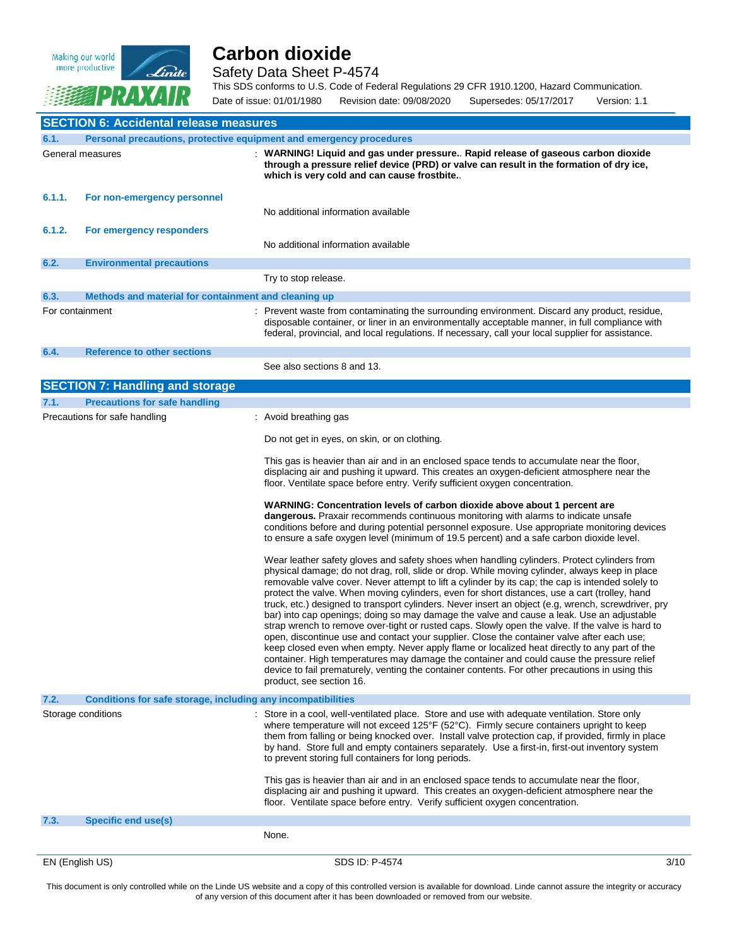

#### Safety Data Sheet P-4574

This SDS conforms to U.S. Code of Federal Regulations 29 CFR 1910.1200, Hazard Communication. Date of issue: 01/01/1980 Revision date: 09/08/2020 Supersedes: 05/17/2017 Version: 1.1

| <b>SECTION 6: Accidental release measures</b>                               |                                                                                                                                                                                                                                                                                                                                                                                                                                                                                                                                                                                                                                                                                                                                                                                                                                                                                                                                                                                                                                                                                                                                       |  |
|-----------------------------------------------------------------------------|---------------------------------------------------------------------------------------------------------------------------------------------------------------------------------------------------------------------------------------------------------------------------------------------------------------------------------------------------------------------------------------------------------------------------------------------------------------------------------------------------------------------------------------------------------------------------------------------------------------------------------------------------------------------------------------------------------------------------------------------------------------------------------------------------------------------------------------------------------------------------------------------------------------------------------------------------------------------------------------------------------------------------------------------------------------------------------------------------------------------------------------|--|
| Personal precautions, protective equipment and emergency procedures<br>6.1. |                                                                                                                                                                                                                                                                                                                                                                                                                                                                                                                                                                                                                                                                                                                                                                                                                                                                                                                                                                                                                                                                                                                                       |  |
| General measures                                                            | : WARNING! Liquid and gas under pressure Rapid release of gaseous carbon dioxide<br>through a pressure relief device (PRD) or valve can result in the formation of dry ice,<br>which is very cold and can cause frostbite                                                                                                                                                                                                                                                                                                                                                                                                                                                                                                                                                                                                                                                                                                                                                                                                                                                                                                             |  |
| 6.1.1.<br>For non-emergency personnel                                       |                                                                                                                                                                                                                                                                                                                                                                                                                                                                                                                                                                                                                                                                                                                                                                                                                                                                                                                                                                                                                                                                                                                                       |  |
|                                                                             | No additional information available                                                                                                                                                                                                                                                                                                                                                                                                                                                                                                                                                                                                                                                                                                                                                                                                                                                                                                                                                                                                                                                                                                   |  |
| 6.1.2.<br>For emergency responders                                          | No additional information available                                                                                                                                                                                                                                                                                                                                                                                                                                                                                                                                                                                                                                                                                                                                                                                                                                                                                                                                                                                                                                                                                                   |  |
| 6.2.<br><b>Environmental precautions</b>                                    |                                                                                                                                                                                                                                                                                                                                                                                                                                                                                                                                                                                                                                                                                                                                                                                                                                                                                                                                                                                                                                                                                                                                       |  |
|                                                                             | Try to stop release.                                                                                                                                                                                                                                                                                                                                                                                                                                                                                                                                                                                                                                                                                                                                                                                                                                                                                                                                                                                                                                                                                                                  |  |
| 6.3.<br>Methods and material for containment and cleaning up                |                                                                                                                                                                                                                                                                                                                                                                                                                                                                                                                                                                                                                                                                                                                                                                                                                                                                                                                                                                                                                                                                                                                                       |  |
| For containment                                                             | : Prevent waste from contaminating the surrounding environment. Discard any product, residue,<br>disposable container, or liner in an environmentally acceptable manner, in full compliance with<br>federal, provincial, and local regulations. If necessary, call your local supplier for assistance.                                                                                                                                                                                                                                                                                                                                                                                                                                                                                                                                                                                                                                                                                                                                                                                                                                |  |
| 6.4.<br><b>Reference to other sections</b>                                  |                                                                                                                                                                                                                                                                                                                                                                                                                                                                                                                                                                                                                                                                                                                                                                                                                                                                                                                                                                                                                                                                                                                                       |  |
|                                                                             | See also sections 8 and 13.                                                                                                                                                                                                                                                                                                                                                                                                                                                                                                                                                                                                                                                                                                                                                                                                                                                                                                                                                                                                                                                                                                           |  |
| <b>SECTION 7: Handling and storage</b>                                      |                                                                                                                                                                                                                                                                                                                                                                                                                                                                                                                                                                                                                                                                                                                                                                                                                                                                                                                                                                                                                                                                                                                                       |  |
| <b>Precautions for safe handling</b><br>7.1.                                |                                                                                                                                                                                                                                                                                                                                                                                                                                                                                                                                                                                                                                                                                                                                                                                                                                                                                                                                                                                                                                                                                                                                       |  |
| Precautions for safe handling                                               | : Avoid breathing gas                                                                                                                                                                                                                                                                                                                                                                                                                                                                                                                                                                                                                                                                                                                                                                                                                                                                                                                                                                                                                                                                                                                 |  |
|                                                                             | Do not get in eyes, on skin, or on clothing.                                                                                                                                                                                                                                                                                                                                                                                                                                                                                                                                                                                                                                                                                                                                                                                                                                                                                                                                                                                                                                                                                          |  |
|                                                                             | This gas is heavier than air and in an enclosed space tends to accumulate near the floor,<br>displacing air and pushing it upward. This creates an oxygen-deficient atmosphere near the<br>floor. Ventilate space before entry. Verify sufficient oxygen concentration.                                                                                                                                                                                                                                                                                                                                                                                                                                                                                                                                                                                                                                                                                                                                                                                                                                                               |  |
|                                                                             | WARNING: Concentration levels of carbon dioxide above about 1 percent are<br>dangerous. Praxair recommends continuous monitoring with alarms to indicate unsafe<br>conditions before and during potential personnel exposure. Use appropriate monitoring devices<br>to ensure a safe oxygen level (minimum of 19.5 percent) and a safe carbon dioxide level.                                                                                                                                                                                                                                                                                                                                                                                                                                                                                                                                                                                                                                                                                                                                                                          |  |
|                                                                             | Wear leather safety gloves and safety shoes when handling cylinders. Protect cylinders from<br>physical damage; do not drag, roll, slide or drop. While moving cylinder, always keep in place<br>removable valve cover. Never attempt to lift a cylinder by its cap; the cap is intended solely to<br>protect the valve. When moving cylinders, even for short distances, use a cart (trolley, hand<br>truck, etc.) designed to transport cylinders. Never insert an object (e.g, wrench, screwdriver, pry<br>bar) into cap openings; doing so may damage the valve and cause a leak. Use an adjustable<br>strap wrench to remove over-tight or rusted caps. Slowly open the valve. If the valve is hard to<br>open, discontinue use and contact your supplier. Close the container valve after each use;<br>keep closed even when empty. Never apply flame or localized heat directly to any part of the<br>container. High temperatures may damage the container and could cause the pressure relief<br>device to fail prematurely, venting the container contents. For other precautions in using this<br>product, see section 16. |  |
| 7.2.<br>Conditions for safe storage, including any incompatibilities        |                                                                                                                                                                                                                                                                                                                                                                                                                                                                                                                                                                                                                                                                                                                                                                                                                                                                                                                                                                                                                                                                                                                                       |  |
| Storage conditions                                                          | Store in a cool, well-ventilated place. Store and use with adequate ventilation. Store only<br>where temperature will not exceed 125°F (52°C). Firmly secure containers upright to keep<br>them from falling or being knocked over. Install valve protection cap, if provided, firmly in place<br>by hand. Store full and empty containers separately. Use a first-in, first-out inventory system<br>to prevent storing full containers for long periods.<br>This gas is heavier than air and in an enclosed space tends to accumulate near the floor,<br>displacing air and pushing it upward. This creates an oxygen-deficient atmosphere near the                                                                                                                                                                                                                                                                                                                                                                                                                                                                                  |  |
|                                                                             | floor. Ventilate space before entry. Verify sufficient oxygen concentration.                                                                                                                                                                                                                                                                                                                                                                                                                                                                                                                                                                                                                                                                                                                                                                                                                                                                                                                                                                                                                                                          |  |
| 7.3.<br><b>Specific end use(s)</b>                                          |                                                                                                                                                                                                                                                                                                                                                                                                                                                                                                                                                                                                                                                                                                                                                                                                                                                                                                                                                                                                                                                                                                                                       |  |
|                                                                             | None.                                                                                                                                                                                                                                                                                                                                                                                                                                                                                                                                                                                                                                                                                                                                                                                                                                                                                                                                                                                                                                                                                                                                 |  |
| EN (English US)                                                             | SDS ID: P-4574<br>3/10                                                                                                                                                                                                                                                                                                                                                                                                                                                                                                                                                                                                                                                                                                                                                                                                                                                                                                                                                                                                                                                                                                                |  |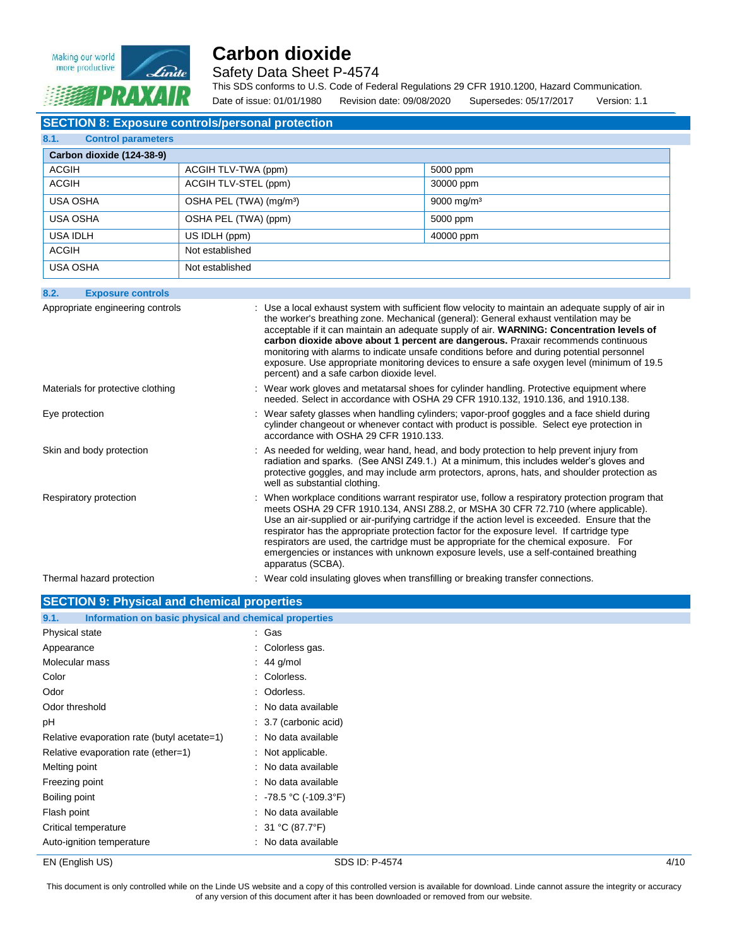

**8.2. Exposure controls**

## **Carbon dioxide**

Safety Data Sheet P-4574

This SDS conforms to U.S. Code of Federal Regulations 29 CFR 1910.1200, Hazard Communication. Date of issue: 01/01/1980 Revision date: 09/08/2020 Supersedes: 05/17/2017 Version: 1.1

#### **SECTION 8: Exposure controls/personal protection**

| 8.1.<br><b>Control parameters</b>            |                                     |                          |  |
|----------------------------------------------|-------------------------------------|--------------------------|--|
| Carbon dioxide (124-38-9)                    |                                     |                          |  |
| <b>ACGIH</b>                                 | ACGIH TLV-TWA (ppm)                 | 5000 ppm                 |  |
| <b>ACGIH</b>                                 | ACGIH TLV-STEL (ppm)                | 30000 ppm                |  |
| USA OSHA                                     | OSHA PEL (TWA) (mg/m <sup>3</sup> ) | $9000 \,\mathrm{mg/m^3}$ |  |
| USA OSHA<br>OSHA PEL (TWA) (ppm)<br>5000 ppm |                                     |                          |  |
| <b>USA IDLH</b>                              | US IDLH (ppm)                       | 40000 ppm                |  |
| <b>ACGIH</b>                                 | Not established                     |                          |  |
| USA OSHA                                     | Not established                     |                          |  |

| O.Z.           | <b>EXPOSURE CONTIGIS</b>          |                                                                                                                                                                                                                                                                                                                                                                                                                                                                                                                                                                                                                           |
|----------------|-----------------------------------|---------------------------------------------------------------------------------------------------------------------------------------------------------------------------------------------------------------------------------------------------------------------------------------------------------------------------------------------------------------------------------------------------------------------------------------------------------------------------------------------------------------------------------------------------------------------------------------------------------------------------|
|                | Appropriate engineering controls  | : Use a local exhaust system with sufficient flow velocity to maintain an adequate supply of air in<br>the worker's breathing zone. Mechanical (general): General exhaust ventilation may be<br>acceptable if it can maintain an adequate supply of air. WARNING: Concentration levels of<br>carbon dioxide above about 1 percent are dangerous. Praxair recommends continuous<br>monitoring with alarms to indicate unsafe conditions before and during potential personnel<br>exposure. Use appropriate monitoring devices to ensure a safe oxygen level (minimum of 19.5)<br>percent) and a safe carbon dioxide level. |
|                | Materials for protective clothing | : Wear work gloves and metatarsal shoes for cylinder handling. Protective equipment where<br>needed. Select in accordance with OSHA 29 CFR 1910.132, 1910.136, and 1910.138.                                                                                                                                                                                                                                                                                                                                                                                                                                              |
| Eye protection |                                   | : Wear safety glasses when handling cylinders; vapor-proof goggles and a face shield during<br>cylinder changeout or whenever contact with product is possible. Select eye protection in<br>accordance with OSHA 29 CFR 1910.133.                                                                                                                                                                                                                                                                                                                                                                                         |
|                | Skin and body protection          | : As needed for welding, wear hand, head, and body protection to help prevent injury from<br>radiation and sparks. (See ANSI Z49.1.) At a minimum, this includes welder's gloves and<br>protective goggles, and may include arm protectors, aprons, hats, and shoulder protection as<br>well as substantial clothing.                                                                                                                                                                                                                                                                                                     |
|                | Respiratory protection            | When workplace conditions warrant respirator use, follow a respiratory protection program that<br>meets OSHA 29 CFR 1910.134, ANSI Z88.2, or MSHA 30 CFR 72.710 (where applicable).<br>Use an air-supplied or air-purifying cartridge if the action level is exceeded. Ensure that the<br>respirator has the appropriate protection factor for the exposure level. If cartridge type<br>respirators are used, the cartridge must be appropriate for the chemical exposure. For<br>emergencies or instances with unknown exposure levels, use a self-contained breathing<br>apparatus (SCBA).                              |
|                | Thermal hazard protection         | : Wear cold insulating gloves when transfilling or breaking transfer connections.                                                                                                                                                                                                                                                                                                                                                                                                                                                                                                                                         |

| <b>SECTION 9: Physical and chemical properties</b>            |                                  |      |
|---------------------------------------------------------------|----------------------------------|------|
| Information on basic physical and chemical properties<br>9.1. |                                  |      |
| Physical state                                                | : Gas                            |      |
| Appearance                                                    | : Colorless gas.                 |      |
| Molecular mass                                                | $\therefore$ 44 g/mol            |      |
| Color                                                         | : Colorless.                     |      |
| Odor                                                          | : Odorless.                      |      |
| Odor threshold                                                | : No data available              |      |
| рH                                                            | $\therefore$ 3.7 (carbonic acid) |      |
| Relative evaporation rate (butyl acetate=1)                   | : No data available              |      |
| Relative evaporation rate (ether=1)                           | : Not applicable.                |      |
| Melting point                                                 | : No data available              |      |
| Freezing point                                                | : No data available              |      |
| Boiling point                                                 | : $-78.5 \text{ °C}$ (-109.3°F)  |      |
| Flash point                                                   | : No data available              |      |
| Critical temperature                                          | : $31 °C (87.7 °F)$              |      |
| Auto-ignition temperature                                     | : No data available              |      |
| EN (English US)                                               | SDS ID: P-4574                   | 4/10 |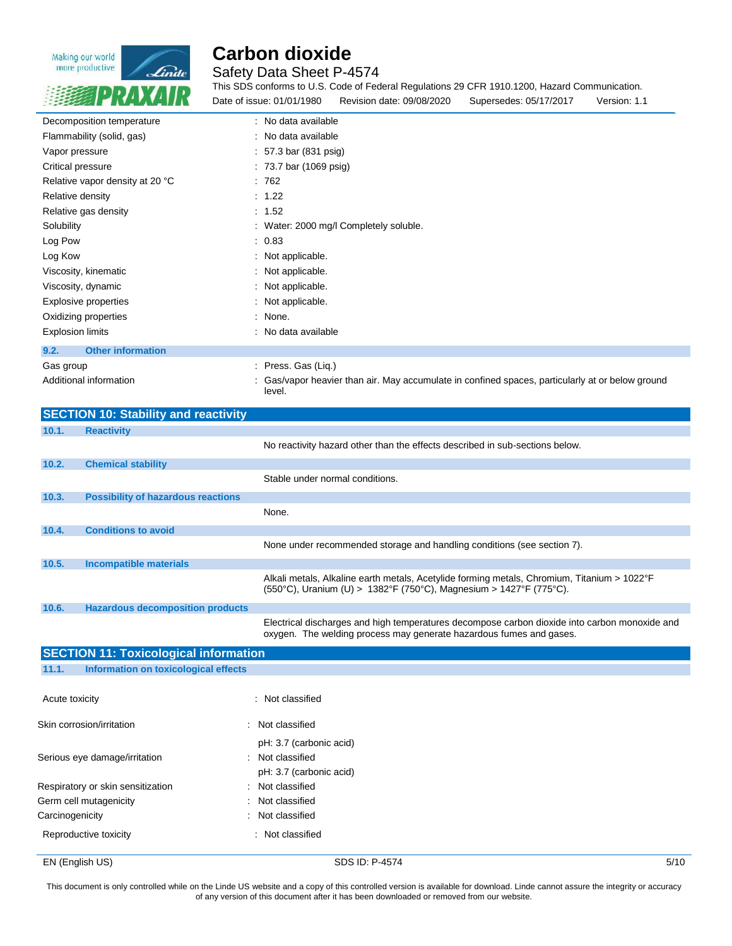

### Safety Data Sheet P-4574

This SDS conforms to U.S. Code of Federal Regulations 29 CFR 1910.1200, Hazard Communication. Date of issue: 01/01/1980 Revision date: 09/08/2020 Supersedes: 05/17/2017 Version: 1.1

| Decomposition temperature        | : No data available                                                                                      |
|----------------------------------|----------------------------------------------------------------------------------------------------------|
| Flammability (solid, gas)        | : No data available                                                                                      |
| Vapor pressure                   | $: 57.3$ bar (831 psig)                                                                                  |
| Critical pressure                | : 73.7 bar (1069 psig)                                                                                   |
| Relative vapor density at 20 °C  | :762                                                                                                     |
| Relative density                 | : 1.22                                                                                                   |
| Relative gas density             | : 1.52                                                                                                   |
| Solubility                       | : Water: 2000 mg/l Completely soluble.                                                                   |
| Log Pow                          | : 0.83                                                                                                   |
| Log Kow                          | : Not applicable.                                                                                        |
| Viscosity, kinematic             | $:$ Not applicable.                                                                                      |
| Viscosity, dynamic               | : Not applicable.                                                                                        |
| Explosive properties             | : Not applicable.                                                                                        |
| Oxidizing properties             | : None.                                                                                                  |
| <b>Explosion limits</b>          | : No data available                                                                                      |
| <b>Other information</b><br>9.2. |                                                                                                          |
| Gas group                        | : Press. Gas (Liq.)                                                                                      |
| Additional information           | Gas/vapor heavier than air. May accumulate in confined spaces, particularly at or below ground<br>level. |

|       | <b>SECTION 10: Stability and reactivity</b>  |                                                                                                                                                                      |
|-------|----------------------------------------------|----------------------------------------------------------------------------------------------------------------------------------------------------------------------|
| 10.1. | <b>Reactivity</b>                            |                                                                                                                                                                      |
|       |                                              | No reactivity hazard other than the effects described in sub-sections below.                                                                                         |
| 10.2. | <b>Chemical stability</b>                    |                                                                                                                                                                      |
|       |                                              | Stable under normal conditions.                                                                                                                                      |
| 10.3. | <b>Possibility of hazardous reactions</b>    |                                                                                                                                                                      |
|       |                                              | None.                                                                                                                                                                |
| 10.4. | <b>Conditions to avoid</b>                   |                                                                                                                                                                      |
|       |                                              | None under recommended storage and handling conditions (see section 7).                                                                                              |
| 10.5. | <b>Incompatible materials</b>                |                                                                                                                                                                      |
|       |                                              | Alkali metals, Alkaline earth metals, Acetylide forming metals, Chromium, Titanium > 1022°F<br>(550°C), Uranium (U) > 1382°F (750°C), Magnesium > 1427°F (775°C).    |
| 10.6. | <b>Hazardous decomposition products</b>      |                                                                                                                                                                      |
|       |                                              | Electrical discharges and high temperatures decompose carbon dioxide into carbon monoxide and<br>oxygen. The welding process may generate hazardous fumes and gases. |
|       | <b>SECTION 11: Toxicological information</b> |                                                                                                                                                                      |
| 11.1. | Information on toxicological effects         |                                                                                                                                                                      |

| Acute toxicity                    | : Not classified            |
|-----------------------------------|-----------------------------|
| Skin corrosion/irritation         | Not classified<br>$\bullet$ |
|                                   | pH: 3.7 (carbonic acid)     |
| Serious eye damage/irritation     | $\therefore$ Not classified |
|                                   | pH: 3.7 (carbonic acid)     |
| Respiratory or skin sensitization | : Not classified            |
| Germ cell mutagenicity            | : Not classified            |
| Carcinogenicity                   | : Not classified            |
| Reproductive toxicity             | : Not classified            |

EN (English US) 5/10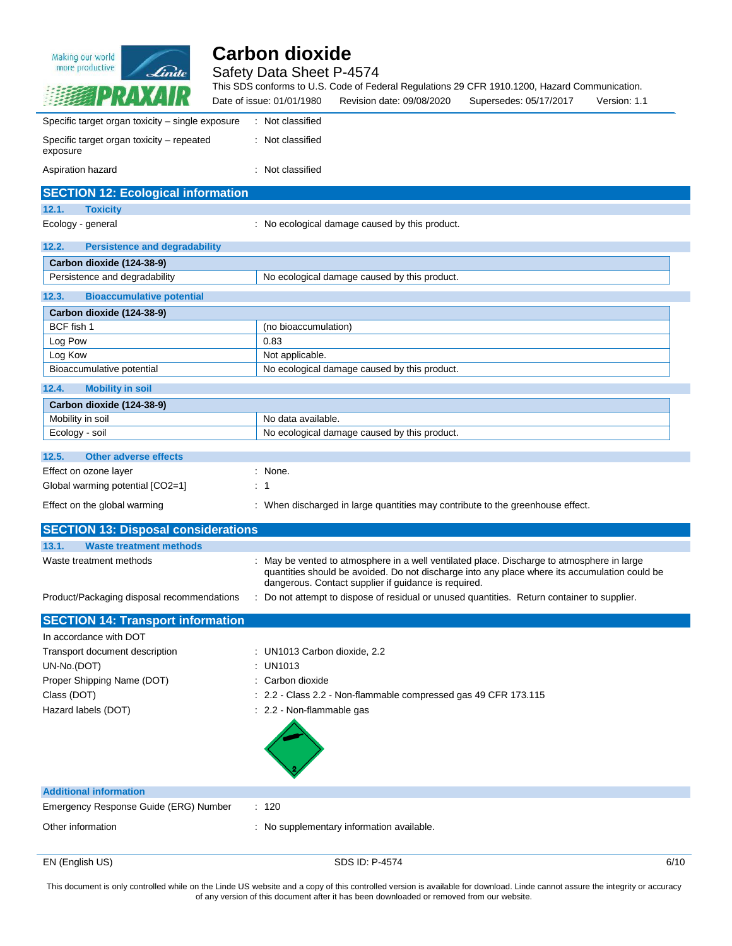

 $\overline{\phantom{a}}$ 

# **Carbon dioxide**

### Safety Data Sheet P-4574

| 接着PRAXAIR                                             | This SDS conforms to U.S. Code of Federal Regulations 29 CFR 1910.1200, Hazard Communication.<br>Date of issue: 01/01/1980<br>Revision date: 09/08/2020<br>Supersedes: 05/17/2017<br>Version: 1.1                                                 |  |  |
|-------------------------------------------------------|---------------------------------------------------------------------------------------------------------------------------------------------------------------------------------------------------------------------------------------------------|--|--|
| Specific target organ toxicity - single exposure      | : Not classified                                                                                                                                                                                                                                  |  |  |
| Specific target organ toxicity – repeated<br>exposure | : Not classified                                                                                                                                                                                                                                  |  |  |
| Aspiration hazard                                     | : Not classified                                                                                                                                                                                                                                  |  |  |
| <b>SECTION 12: Ecological information</b>             |                                                                                                                                                                                                                                                   |  |  |
| 12.1.<br><b>Toxicity</b>                              |                                                                                                                                                                                                                                                   |  |  |
| Ecology - general                                     | : No ecological damage caused by this product.                                                                                                                                                                                                    |  |  |
| 12.2.<br><b>Persistence and degradability</b>         |                                                                                                                                                                                                                                                   |  |  |
| Carbon dioxide (124-38-9)                             |                                                                                                                                                                                                                                                   |  |  |
| Persistence and degradability                         | No ecological damage caused by this product.                                                                                                                                                                                                      |  |  |
| <b>Bioaccumulative potential</b><br>12.3.             |                                                                                                                                                                                                                                                   |  |  |
| Carbon dioxide (124-38-9)                             |                                                                                                                                                                                                                                                   |  |  |
| BCF fish 1                                            | (no bioaccumulation)                                                                                                                                                                                                                              |  |  |
| Log Pow                                               | 0.83                                                                                                                                                                                                                                              |  |  |
| Log Kow                                               | Not applicable.                                                                                                                                                                                                                                   |  |  |
| Bioaccumulative potential                             | No ecological damage caused by this product.                                                                                                                                                                                                      |  |  |
| 12.4.<br><b>Mobility in soil</b>                      |                                                                                                                                                                                                                                                   |  |  |
| Carbon dioxide (124-38-9)                             |                                                                                                                                                                                                                                                   |  |  |
| Mobility in soil                                      | No data available.                                                                                                                                                                                                                                |  |  |
| Ecology - soil                                        | No ecological damage caused by this product.                                                                                                                                                                                                      |  |  |
| <b>Other adverse effects</b><br>12.5.                 |                                                                                                                                                                                                                                                   |  |  |
| Effect on ozone layer                                 | : None.                                                                                                                                                                                                                                           |  |  |
| Global warming potential [CO2=1]                      | : 1                                                                                                                                                                                                                                               |  |  |
| Effect on the global warming                          | : When discharged in large quantities may contribute to the greenhouse effect.                                                                                                                                                                    |  |  |
| <b>SECTION 13: Disposal considerations</b>            |                                                                                                                                                                                                                                                   |  |  |
| 13.1.<br><b>Waste treatment methods</b>               |                                                                                                                                                                                                                                                   |  |  |
| Waste treatment methods                               | May be vented to atmosphere in a well ventilated place. Discharge to atmosphere in large<br>quantities should be avoided. Do not discharge into any place where its accumulation could be<br>dangerous. Contact supplier if guidance is required. |  |  |
| Product/Packaging disposal recommendations            | : Do not attempt to dispose of residual or unused quantities. Return container to supplier.                                                                                                                                                       |  |  |
| <b>SECTION 14: Transport information</b>              |                                                                                                                                                                                                                                                   |  |  |
| In accordance with DOT                                |                                                                                                                                                                                                                                                   |  |  |
| Transport document description                        | : UN1013 Carbon dioxide, 2.2                                                                                                                                                                                                                      |  |  |
| UN-No.(DOT)                                           | : UN1013                                                                                                                                                                                                                                          |  |  |
| Proper Shipping Name (DOT)                            | : Carbon dioxide                                                                                                                                                                                                                                  |  |  |
| Class (DOT)                                           | : 2.2 - Class 2.2 - Non-flammable compressed gas 49 CFR 173.115                                                                                                                                                                                   |  |  |
| Hazard labels (DOT)                                   | : 2.2 - Non-flammable gas                                                                                                                                                                                                                         |  |  |
|                                                       |                                                                                                                                                                                                                                                   |  |  |

|                                       | $\sim$ $\sim$                             |
|---------------------------------------|-------------------------------------------|
| <b>Additional information</b>         |                                           |
| Emergency Response Guide (ERG) Number | : 120                                     |
| Other information                     | : No supplementary information available. |

EN (English US) 6/10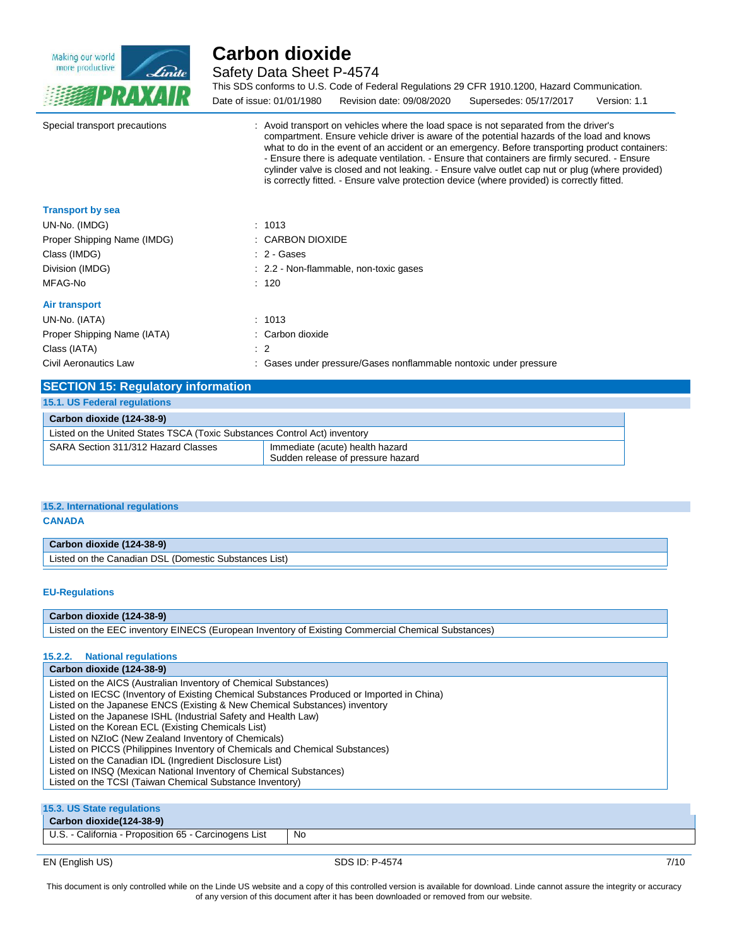

Safety Data Sheet P-4574

This SDS conforms to U.S. Code of Federal Regulations 29 CFR 1910.1200, Hazard Communication. Date of issue: 01/01/1980 Revision date: 09/08/2020 Supersedes: 05/17/2017 Version: 1.1

| Special transport precautions | : Avoid transport on vehicles where the load space is not separated from the driver's<br>compartment. Ensure vehicle driver is aware of the potential hazards of the load and knows<br>what to do in the event of an accident or an emergency. Before transporting product containers:<br>- Ensure there is adequate ventilation. - Ensure that containers are firmly secured. - Ensure<br>cylinder valve is closed and not leaking. - Ensure valve outlet cap nut or plug (where provided)<br>is correctly fitted. - Ensure valve protection device (where provided) is correctly fitted. |
|-------------------------------|--------------------------------------------------------------------------------------------------------------------------------------------------------------------------------------------------------------------------------------------------------------------------------------------------------------------------------------------------------------------------------------------------------------------------------------------------------------------------------------------------------------------------------------------------------------------------------------------|
| <b>Transport by sea</b>       |                                                                                                                                                                                                                                                                                                                                                                                                                                                                                                                                                                                            |
| UN-No. (IMDG)                 | : 1013                                                                                                                                                                                                                                                                                                                                                                                                                                                                                                                                                                                     |
| Proper Shipping Name (IMDG)   | $\therefore$ CARBON DIOXIDE                                                                                                                                                                                                                                                                                                                                                                                                                                                                                                                                                                |
| Class (IMDG)                  | $: 2$ Gases                                                                                                                                                                                                                                                                                                                                                                                                                                                                                                                                                                                |
| Division (IMDG)               | : 2.2 - Non-flammable, non-toxic gases                                                                                                                                                                                                                                                                                                                                                                                                                                                                                                                                                     |
| MFAG-No                       | : 120                                                                                                                                                                                                                                                                                                                                                                                                                                                                                                                                                                                      |
| Air transport                 |                                                                                                                                                                                                                                                                                                                                                                                                                                                                                                                                                                                            |
| UN-No. (IATA)                 | : 1013                                                                                                                                                                                                                                                                                                                                                                                                                                                                                                                                                                                     |
| Proper Shipping Name (IATA)   | : Carbon dioxide                                                                                                                                                                                                                                                                                                                                                                                                                                                                                                                                                                           |
| Class (IATA)                  | $\therefore$ 2                                                                                                                                                                                                                                                                                                                                                                                                                                                                                                                                                                             |
| Civil Aeronautics Law         | : Gases under pressure/Gases nonflammable nontoxic under pressure                                                                                                                                                                                                                                                                                                                                                                                                                                                                                                                          |
|                               |                                                                                                                                                                                                                                                                                                                                                                                                                                                                                                                                                                                            |

| <b>SECTION 15: Regulatory information</b>                                 |                                   |  |  |
|---------------------------------------------------------------------------|-----------------------------------|--|--|
| 15.1. US Federal regulations                                              |                                   |  |  |
| Carbon dioxide (124-38-9)                                                 |                                   |  |  |
| Listed on the United States TSCA (Toxic Substances Control Act) inventory |                                   |  |  |
| SARA Section 311/312 Hazard Classes                                       | Immediate (acute) health hazard   |  |  |
|                                                                           | Sudden release of pressure hazard |  |  |

#### **15.2. International regulations**

**CANADA**

| $(124 - 38 - 9)$<br>$C_{2r}$<br>'bon dioxide'                               |  |
|-----------------------------------------------------------------------------|--|
| . .<br>∟ist`<br>DSL<br>Canadian<br>neter L<br>Domestic<br>the<br>Substances |  |
|                                                                             |  |

#### **EU-Regulations**

#### **Carbon dioxide (124-38-9)**

Listed on the EEC inventory EINECS (European Inventory of Existing Commercial Chemical Substances)

#### **15.2.2. National regulations**

#### **Carbon dioxide (124-38-9)**

Listed on the AICS (Australian Inventory of Chemical Substances) Listed on IECSC (Inventory of Existing Chemical Substances Produced or Imported in China) Listed on the Japanese ENCS (Existing & New Chemical Substances) inventory Listed on the Japanese ISHL (Industrial Safety and Health Law) Listed on the Korean ECL (Existing Chemicals List) Listed on NZIoC (New Zealand Inventory of Chemicals) Listed on PICCS (Philippines Inventory of Chemicals and Chemical Substances) Listed on the Canadian IDL (Ingredient Disclosure List) Listed on INSQ (Mexican National Inventory of Chemical Substances)

Listed on the TCSI (Taiwan Chemical Substance Inventory)

| <b>15.3. US State regulations</b>                     |    |
|-------------------------------------------------------|----|
| Carbon dioxide(124-38-9)                              |    |
| U.S. - California - Proposition 65 - Carcinogens List | No |

EN (English US) SDS ID: P-4574 7/10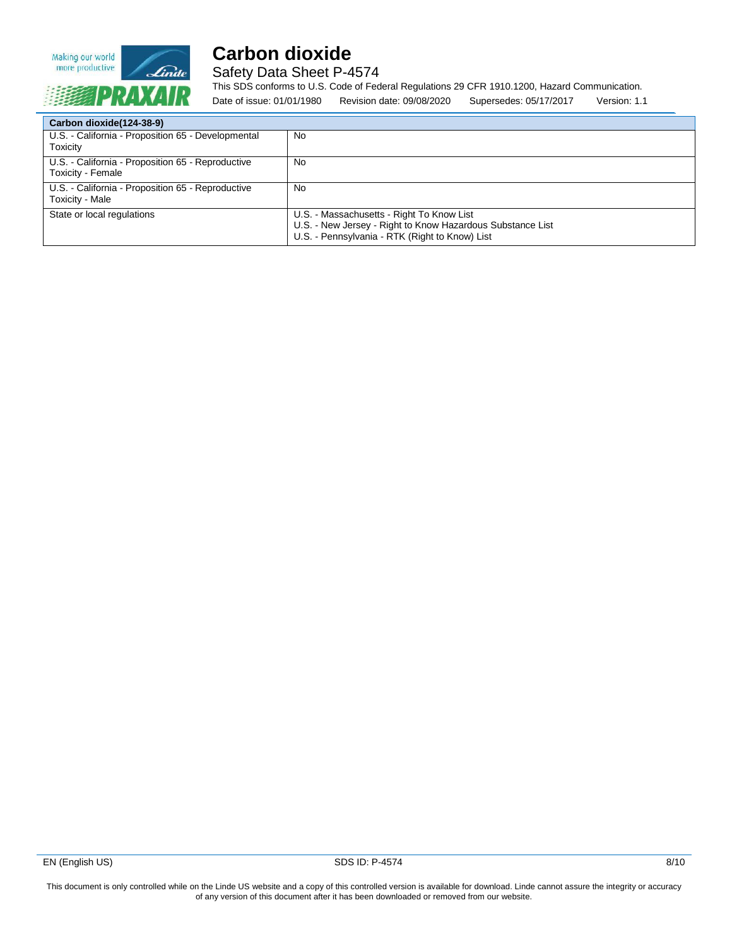

Safety Data Sheet P-4574

This SDS conforms to U.S. Code of Federal Regulations 29 CFR 1910.1200, Hazard Communication. Date of issue: 01/01/1980 Revision date: 09/08/2020 Supersedes: 05/17/2017 Version: 1.1

| Carbon dioxide (124-38-9)                                              |                                                                                                                                                           |
|------------------------------------------------------------------------|-----------------------------------------------------------------------------------------------------------------------------------------------------------|
| U.S. - California - Proposition 65 - Developmental<br>Toxicity         | No                                                                                                                                                        |
| U.S. - California - Proposition 65 - Reproductive<br>Toxicity - Female | No                                                                                                                                                        |
| U.S. - California - Proposition 65 - Reproductive<br>Toxicity - Male   | No                                                                                                                                                        |
| State or local regulations                                             | U.S. - Massachusetts - Right To Know List<br>U.S. - New Jersey - Right to Know Hazardous Substance List<br>U.S. - Pennsylvania - RTK (Right to Know) List |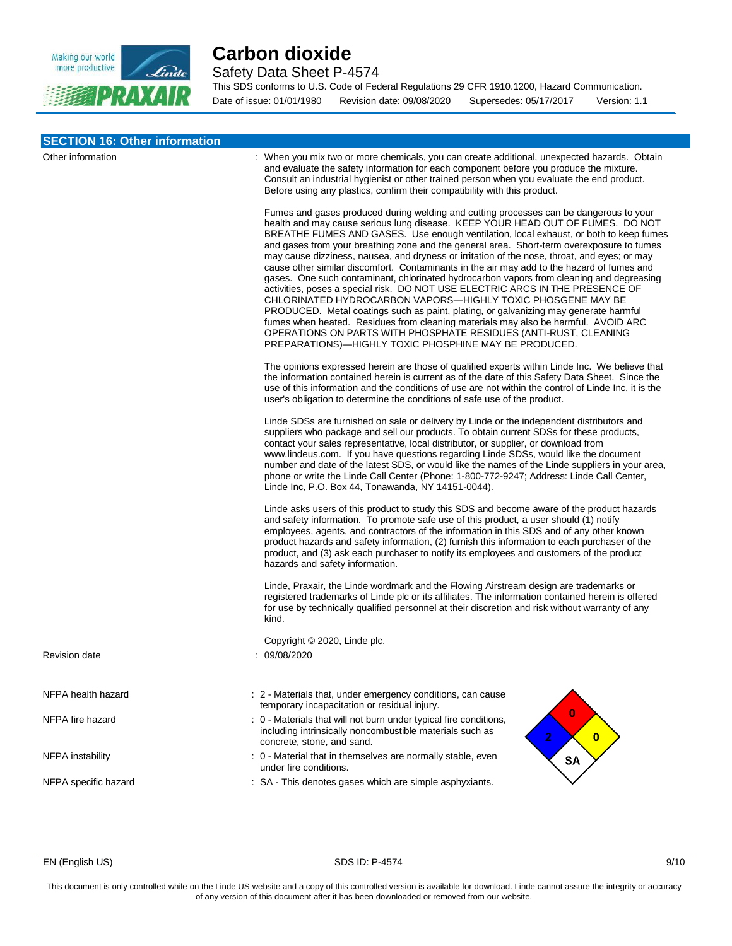

Safety Data Sheet P-4574

This SDS conforms to U.S. Code of Federal Regulations 29 CFR 1910.1200, Hazard Communication. Date of issue: 01/01/1980 Revision date: 09/08/2020 Supersedes: 05/17/2017 Version: 1.1

#### **SECTION 16: Other information**

| Other information    | When you mix two or more chemicals, you can create additional, unexpected hazards. Obtain<br>and evaluate the safety information for each component before you produce the mixture.<br>Consult an industrial hygienist or other trained person when you evaluate the end product.<br>Before using any plastics, confirm their compatibility with this product.                                                                                                                                                                                                                                                                                                                                                                                                                                                                                                                                                                                                                                                                                                                                                      |
|----------------------|---------------------------------------------------------------------------------------------------------------------------------------------------------------------------------------------------------------------------------------------------------------------------------------------------------------------------------------------------------------------------------------------------------------------------------------------------------------------------------------------------------------------------------------------------------------------------------------------------------------------------------------------------------------------------------------------------------------------------------------------------------------------------------------------------------------------------------------------------------------------------------------------------------------------------------------------------------------------------------------------------------------------------------------------------------------------------------------------------------------------|
|                      | Fumes and gases produced during welding and cutting processes can be dangerous to your<br>health and may cause serious lung disease. KEEP YOUR HEAD OUT OF FUMES. DO NOT<br>BREATHE FUMES AND GASES. Use enough ventilation, local exhaust, or both to keep fumes<br>and gases from your breathing zone and the general area. Short-term overexposure to fumes<br>may cause dizziness, nausea, and dryness or irritation of the nose, throat, and eyes; or may<br>cause other similar discomfort. Contaminants in the air may add to the hazard of fumes and<br>gases. One such contaminant, chlorinated hydrocarbon vapors from cleaning and degreasing<br>activities, poses a special risk. DO NOT USE ELECTRIC ARCS IN THE PRESENCE OF<br>CHLORINATED HYDROCARBON VAPORS-HIGHLY TOXIC PHOSGENE MAY BE<br>PRODUCED. Metal coatings such as paint, plating, or galvanizing may generate harmful<br>fumes when heated. Residues from cleaning materials may also be harmful. AVOID ARC<br>OPERATIONS ON PARTS WITH PHOSPHATE RESIDUES (ANTI-RUST, CLEANING<br>PREPARATIONS)—HIGHLY TOXIC PHOSPHINE MAY BE PRODUCED. |
|                      | The opinions expressed herein are those of qualified experts within Linde Inc. We believe that<br>the information contained herein is current as of the date of this Safety Data Sheet. Since the<br>use of this information and the conditions of use are not within the control of Linde Inc, it is the<br>user's obligation to determine the conditions of safe use of the product.                                                                                                                                                                                                                                                                                                                                                                                                                                                                                                                                                                                                                                                                                                                              |
|                      | Linde SDSs are furnished on sale or delivery by Linde or the independent distributors and<br>suppliers who package and sell our products. To obtain current SDSs for these products,<br>contact your sales representative, local distributor, or supplier, or download from<br>www.lindeus.com. If you have questions regarding Linde SDSs, would like the document<br>number and date of the latest SDS, or would like the names of the Linde suppliers in your area,<br>phone or write the Linde Call Center (Phone: 1-800-772-9247; Address: Linde Call Center,<br>Linde Inc, P.O. Box 44, Tonawanda, NY 14151-0044).                                                                                                                                                                                                                                                                                                                                                                                                                                                                                            |
|                      | Linde asks users of this product to study this SDS and become aware of the product hazards<br>and safety information. To promote safe use of this product, a user should (1) notify<br>employees, agents, and contractors of the information in this SDS and of any other known<br>product hazards and safety information, (2) furnish this information to each purchaser of the<br>product, and (3) ask each purchaser to notify its employees and customers of the product<br>hazards and safety information.                                                                                                                                                                                                                                                                                                                                                                                                                                                                                                                                                                                                     |
|                      | Linde, Praxair, the Linde wordmark and the Flowing Airstream design are trademarks or<br>registered trademarks of Linde plc or its affiliates. The information contained herein is offered<br>for use by technically qualified personnel at their discretion and risk without warranty of any<br>kind.                                                                                                                                                                                                                                                                                                                                                                                                                                                                                                                                                                                                                                                                                                                                                                                                              |
| <b>Revision date</b> | Copyright © 2020, Linde plc.<br>09/08/2020                                                                                                                                                                                                                                                                                                                                                                                                                                                                                                                                                                                                                                                                                                                                                                                                                                                                                                                                                                                                                                                                          |
| NFPA health hazard   | : 2 - Materials that, under emergency conditions, can cause<br>temporary incapacitation or residual injury.                                                                                                                                                                                                                                                                                                                                                                                                                                                                                                                                                                                                                                                                                                                                                                                                                                                                                                                                                                                                         |
| NFPA fire hazard     | 0<br>: 0 - Materials that will not burn under typical fire conditions,<br>including intrinsically noncombustible materials such as<br>$\overline{2}$<br>$\mathbf{0}$<br>concrete, stone, and sand.                                                                                                                                                                                                                                                                                                                                                                                                                                                                                                                                                                                                                                                                                                                                                                                                                                                                                                                  |
| NFPA instability     | : 0 - Material that in themselves are normally stable, even<br>SA<br>under fire conditions.                                                                                                                                                                                                                                                                                                                                                                                                                                                                                                                                                                                                                                                                                                                                                                                                                                                                                                                                                                                                                         |
| NFPA specific hazard | : SA - This denotes gases which are simple asphyxiants.                                                                                                                                                                                                                                                                                                                                                                                                                                                                                                                                                                                                                                                                                                                                                                                                                                                                                                                                                                                                                                                             |